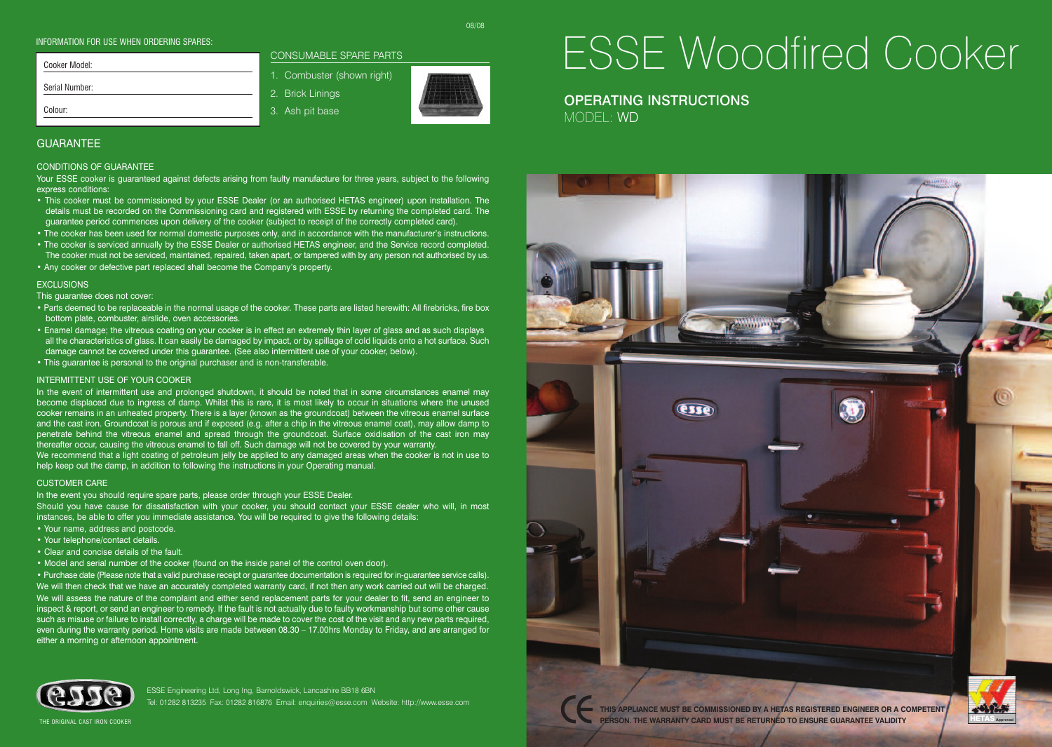#### INFORMATION FOR USE WHEN ORDERING SPARES:

| Cooker Model:  | CONSUMABLE SPARE PART      |
|----------------|----------------------------|
|                | 1. Combuster (shown right) |
| Serial Number: | 2. Brick Linings           |
| Colour:        | 3. Ash pit base            |

## **GUARANTEE**

#### CONDITIONS OF GUARANTEE

Your ESSE cooker is guaranteed against defects arising from faulty manufacture for three years, subject to the following express conditions:

**IABLE SPARE PARTS** 

- This cooker must be commissioned by your ESSE Dealer (or an authorised HETAS engineer) upon installation. The details must be recorded on the Commissioning card and registered with ESSE by returning the completed card. The guarantee period commences upon delivery of the cooker (subject to receipt of the correctly completed card).
- The cooker has been used for normal domestic purposes only, and in accordance with the manufacturer's instructions.
- The cooker is serviced annually by the ESSE Dealer or authorised HETAS engineer, and the Service record completed. The cooker must not be serviced, maintained, repaired, taken apart, or tampered with by any person not authorised by us.
- Any cooker or defective part replaced shall become the Company's property.

#### **EXCLUSIONS**

This guarantee does not cover:

- Parts deemed to be replaceable in the normal usage of the cooker. These parts are listed herewith: All firebricks, fire box bottom plate, combuster, airslide, oven accessories.
- Enamel damage; the vitreous coating on your cooker is in effect an extremely thin layer of glass and as such displays all the characteristics of glass. It can easily be damaged by impact, or by spillage of cold liquids onto a hot surface. Such damage cannot be covered under this guarantee. (See also intermittent use of your cooker, below).
- This guarantee is personal to the original purchaser and is non-transferable.

#### INTERMITTENT USE OF YOUR COOKER

In the event of intermittent use and prolonged shutdown, it should be noted that in some circumstances enamel may become displaced due to ingress of damp. Whilst this is rare, it is most likely to occur in situations where the unused cooker remains in an unheated property. There is a layer (known as the groundcoat) between the vitreous enamel surface and the cast iron. Groundcoat is porous and if exposed (e.g. after a chip in the vitreous enamel coat), may allow damp to penetrate behind the vitreous enamel and spread through the groundcoat. Surface oxidisation of the cast iron may thereafter occur, causing the vitreous enamel to fall off. Such damage will not be covered by your warranty. We recommend that a light coating of petroleum jelly be applied to any damaged areas when the cooker is not in use to help keep out the damp, in addition to following the instructions in your Operating manual.

#### CUSTOMER CARE

In the event you should require spare parts, please order through your ESSE Dealer.

Should you have cause for dissatisfaction with your cooker, you should contact your ESSE dealer who will, in most instances, be able to offer you immediate assistance. You will be required to give the following details:

- Your name, address and postcode.
- Your telephone/contact details.
- Clear and concise details of the fault.
- Model and serial number of the cooker (found on the inside panel of the control oven door).

• Purchase date (Please note that a valid purchase receipt or guarantee documentation is required for in-guarantee service calls). We will then check that we have an accurately completed warranty card, if not then any work carried out will be charged. We will assess the nature of the complaint and either send replacement parts for your dealer to fit, send an engineer to inspect & report, or send an engineer to remedy. If the fault is not actually due to faulty workmanship but some other cause such as misuse or failure to install correctly, a charge will be made to cover the cost of the visit and any new parts required, even during the warranty period. Home visits are made between 08.30 – 17.00hrs Monday to Friday, and are arranged for either a morning or afternoon appointment.



ESSE Engineering Ltd, Long Ing, Barnoldswick, Lancashire BB18 6BN Tel: 01282 813235 Fax: 01282 816876 Email: enquiries@esse.com Website: http://www.esse.com ESSE Woodfired Cooker

OPERATING INSTRUCTIONS MODEL: WD



THE ORIGINAL CAST IRON COOKER

08/08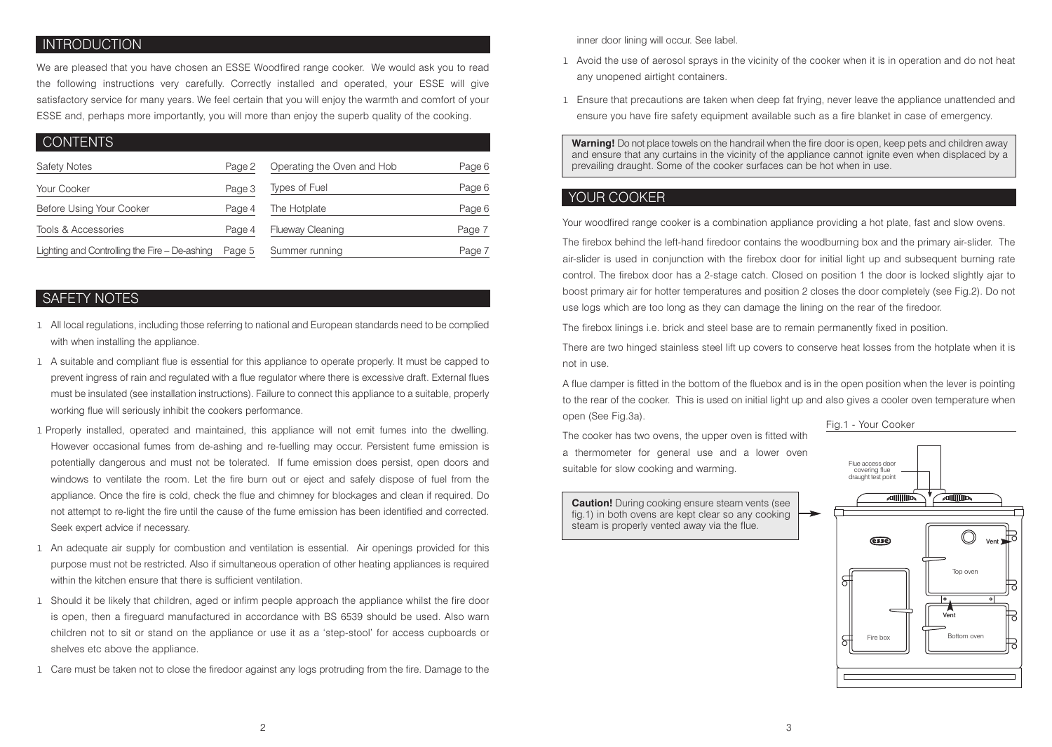## **INTRODUCTION**

We are pleased that you have chosen an ESSE Woodfired range cooker. We would ask you to read the following instructions very carefully. Correctly installed and operated, your ESSE will give satisfactory service for many years. We feel certain that you will enjoy the warmth and comfort of your ESSE and, perhaps more importantly, you will more than enjoy the superb quality of the cooking.

| <b>CONTENTS</b>                               |        |                            |        |
|-----------------------------------------------|--------|----------------------------|--------|
| <b>Safety Notes</b>                           | Page 2 | Operating the Oven and Hob | Page 6 |
| Your Cooker                                   | Page 3 | Types of Fuel              | Page 6 |
| Before Using Your Cooker                      | Page 4 | The Hotplate               | Page 6 |
| Tools & Accessories                           | Page 4 | <b>Flueway Cleaning</b>    | Page 7 |
| Lighting and Controlling the Fire - De-ashing | Page 5 | Summer running             | Page 7 |

# SAFETY NOTES

- l All local regulations, including those referring to national and European standards need to be complied with when installing the appliance.
- l A suitable and compliant flue is essential for this appliance to operate properly. It must be capped to prevent ingress of rain and regulated with a flue regulator where there is excessive draft. External flues must be insulated (see installation instructions). Failure to connect this appliance to a suitable, properly working flue will seriously inhibit the cookers performance.
- l Properly installed, operated and maintained, this appliance will not emit fumes into the dwelling. However occasional fumes from de-ashing and re-fuelling may occur. Persistent fume emission is potentially dangerous and must not be tolerated. If fume emission does persist, open doors and windows to ventilate the room. Let the fire burn out or eject and safely dispose of fuel from the appliance. Once the fire is cold, check the flue and chimney for blockages and clean if required. Do not attempt to re-light the fire until the cause of the fume emission has been identified and corrected. Seek expert advice if necessary.
- 1 An adequate air supply for combustion and ventilation is essential. Air openings provided for this purpose must not be restricted. Also if simultaneous operation of other heating appliances is required within the kitchen ensure that there is sufficient ventilation.
- l Should it be likely that children, aged or infirm people approach the appliance whilst the fire door is open, then a fireguard manufactured in accordance with BS 6539 should be used. Also warn children not to sit or stand on the appliance or use it as a 'step-stool' for access cupboards or shelves etc above the appliance.
- l Care must be taken not to close the firedoor against any logs protruding from the fire. Damage to the

inner door lining will occur. See label.

- l Avoid the use of aerosol sprays in the vicinity of the cooker when it is in operation and do not heat any unopened airtight containers.
- l Ensure that precautions are taken when deep fat frying, never leave the appliance unattended and ensure you have fire safety equipment available such as a fire blanket in case of emergency.

**Warning!** Do not place towels on the handrail when the fire door is open, keep pets and children away and ensure that any curtains in the vicinity of the appliance cannot ignite even when displaced by a prevailing draught. Some of the cooker surfaces can be hot when in use.

# YOUR COOKER

Your woodfired range cooker is a combination appliance providing a hot plate, fast and slow ovens.

The firebox behind the left-hand firedoor contains the woodburning box and the primary air-slider. The air-slider is used in conjunction with the firebox door for initial light up and subsequent burning rate control. The firebox door has a 2-stage catch. Closed on position 1 the door is locked slightly ajar to boost primary air for hotter temperatures and position 2 closes the door completely (see Fig.2). Do not use logs which are too long as they can damage the lining on the rear of the firedoor.

The firebox linings i.e. brick and steel base are to remain permanently fixed in position.

There are two hinged stainless steel lift up covers to conserve heat losses from the hotplate when it is not in use.

A flue damper is fitted in the bottom of the fluebox and is in the open position when the lever is pointing to the rear of the cooker. This is used on initial light up and also gives a cooler oven temperature when open (See Fig.3a).

The cooker has two ovens, the upper oven is fitted with a thermometer for general use and a lower oven suitable for slow cooking and warming.

**Caution!** During cooking ensure steam vents (see fig.1) in both ovens are kept clear so any cooking steam is properly vented away via the flue.

![](_page_1_Figure_22.jpeg)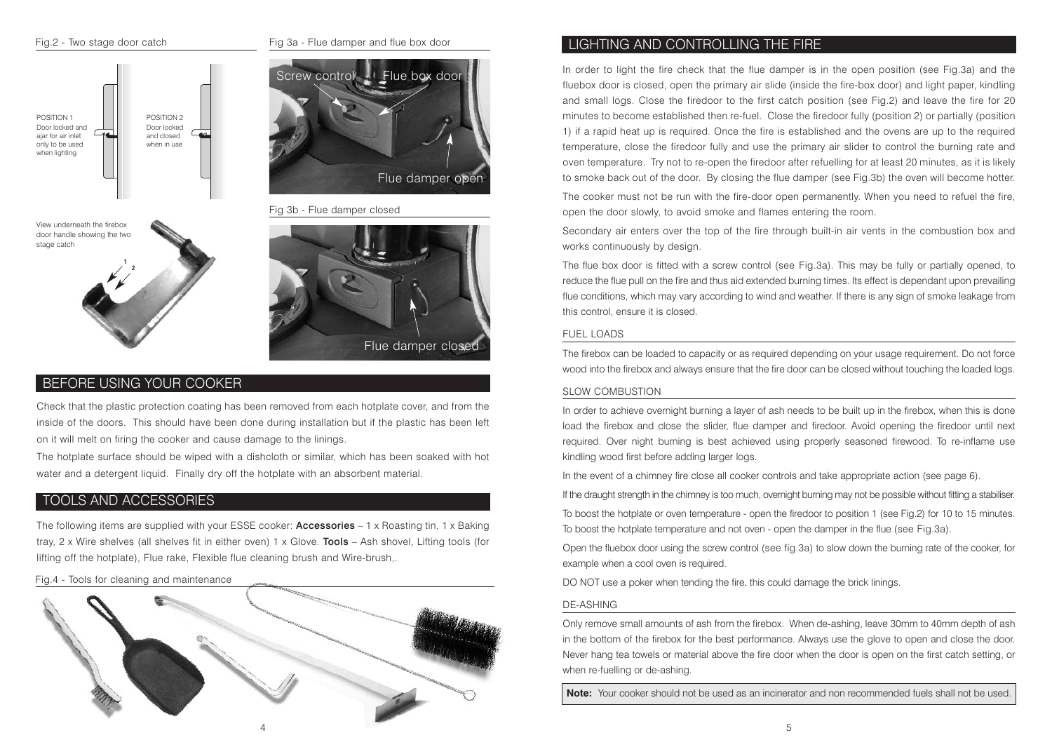![](_page_2_Figure_0.jpeg)

![](_page_2_Picture_2.jpeg)

Fig 3b - Flue damper closed

door handle showing the two stage catch

![](_page_2_Picture_5.jpeg)

![](_page_2_Picture_6.jpeg)

# BEFORE USING YOUR COOKER

Check that the plastic protection coating has been removed from each hotplate cover, and from the inside of the doors. This should have been done during installation but if the plastic has been left on it will melt on firing the cooker and cause damage to the linings.

The hotplate surface should be wiped with a dishcloth or similar, which has been soaked with hot water and a detergent liquid. Finally dry off the hotplate with an absorbent material.

## TOOLS AND ACCESSORIES

The following items are supplied with your ESSE cooker: **Accessories**  $-1 \times$  Roasting tin, 1 x Baking tray, 2 x Wire shelves (all shelves fit in either oven) 1 x Glove. Tools – Ash shovel, Lifting tools (for lifting off the hotplate), Flue rake, Flexible flue cleaning brush and Wire-brush,.

Fig.4 - Tools for cleaning and maintenance

![](_page_2_Picture_13.jpeg)

# LIGHTING AND CONTROLLING THE FIRE

In order to light the fire check that the flue damper is in the open position (see Fig.3a) and the fluebox door is closed, open the primary air slide (inside the fire-box door) and light paper, kindling and small logs. Close the firedoor to the first catch position (see Fig.2) and leave the fire for 20 minutes to become established then re-fuel. Close the firedoor fully (position 2) or partially (position 1) if a rapid heat up is required. Once the fire is established and the ovens are up to the required temperature, close the firedoor fully and use the primary air slider to control the burning rate and oven temperature. Try not to re-open the firedoor after refuelling for at least 20 minutes, as it is likely to smoke back out of the door. By closing the flue damper (see Fig.3b) the oven will become hotter.

The cooker must not be run with the fire-door open permanently. When you need to refuel the fire, open the door slowly, to avoid smoke and flames entering the room.

Secondary air enters over the top of the fire through built-in air vents in the combustion box and works continuously by design.

The flue box door is fitted with a screw control (see Fig.3a). This may be fully or partially opened, to reduce the flue pull on the fire and thus aid extended burning times. Its effect is dependant upon prevailing flue conditions, which may vary according to wind and weather. If there is any sign of smoke leakage from this control, ensure it is closed.

#### FUEL LOADS

The firebox can be loaded to capacity or as required depending on your usage requirement. Do not force wood into the firebox and always ensure that the fire door can be closed without touching the loaded logs.

### SLOW COMBUSTION

In order to achieve overnight burning a layer of ash needs to be built up in the firebox, when this is done load the firebox and close the slider, flue damper and firedoor. Avoid opening the firedoor until next required. Over night burning is best achieved using properly seasoned firewood. To re-inflame use kindling wood first before adding larger logs.

In the event of a chimney fire close all cooker controls and take appropriate action (see page 6).

If the draught strength in the chimney is too much, overnight burning may not be possible without fitting a stabiliser.

To boost the hotplate or oven temperature - open the firedoor to position 1 (see Fig.2) for 10 to 15 minutes. To boost the hotplate temperature and not oven - open the damper in the flue (see Fig.3a).

Open the fluebox door using the screw control (see fig.3a) to slow down the burning rate of the cooker, for example when a cool oven is required.

DO NOT use a poker when tending the fire, this could damage the brick linings.

### DE-ASHING

Only remove small amounts of ash from the firebox. When de-ashing, leave 30mm to 40mm depth of ash in the bottom of the firebox for the best performance. Always use the glove to open and close the door. Never hang tea towels or material above the fire door when the door is open on the first catch setting, or when re-fuelling or de-ashing.

**Note:** Your cooker should not be used as an incinerator and non recommended fuels shall not be used.